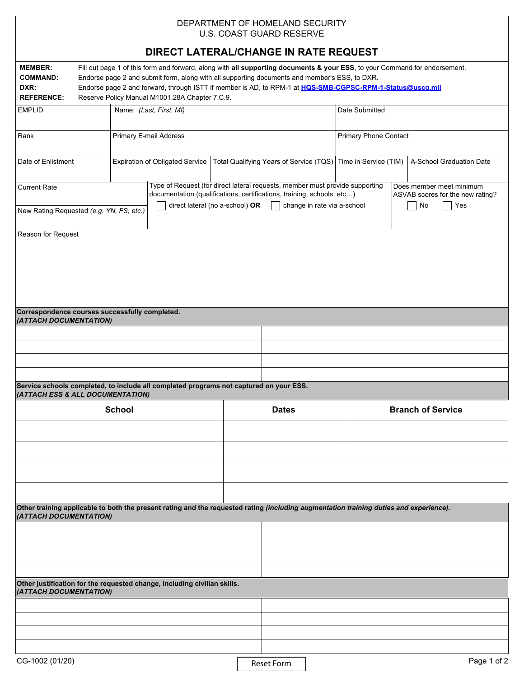## DEPARTMENT OF HOMELAND SECURITY U.S. COAST GUARD RESERVE

| <b>MEMBER:</b><br><b>COMMAND:</b><br>DXR:<br><b>REFERENCE:</b>                                                                         |                                                                                                                                                        | Reserve Policy Manual M1001.28A Chapter 7.C.9. |  |  | Fill out page 1 of this form and forward, along with all supporting documents & your ESS, to your Command for endorsement.<br>Endorse page 2 and submit form, along with all supporting documents and member's ESS, to DXR.<br>Endorse page 2 and forward, through ISTT if member is AD, to RPM-1 at HQS-SMB-CGPSC-RPM-1-Status@uscg.mil |                              |                                                              |                          |  |
|----------------------------------------------------------------------------------------------------------------------------------------|--------------------------------------------------------------------------------------------------------------------------------------------------------|------------------------------------------------|--|--|------------------------------------------------------------------------------------------------------------------------------------------------------------------------------------------------------------------------------------------------------------------------------------------------------------------------------------------|------------------------------|--------------------------------------------------------------|--------------------------|--|
| <b>EMPLID</b>                                                                                                                          |                                                                                                                                                        | Name: (Last, First, MI)                        |  |  |                                                                                                                                                                                                                                                                                                                                          | Date Submitted               |                                                              |                          |  |
| Rank                                                                                                                                   | <b>Primary E-mail Address</b>                                                                                                                          |                                                |  |  |                                                                                                                                                                                                                                                                                                                                          | <b>Primary Phone Contact</b> |                                                              |                          |  |
| Date of Enlistment                                                                                                                     |                                                                                                                                                        | <b>Expiration of Obligated Service</b>         |  |  | Total Qualifying Years of Service (TQS) Time in Service (TIM)                                                                                                                                                                                                                                                                            |                              |                                                              | A-School Graduation Date |  |
| <b>Current Rate</b>                                                                                                                    | Type of Request (for direct lateral requests, member must provide supporting<br>documentation (qualifications, certifications, training, schools, etc) |                                                |  |  |                                                                                                                                                                                                                                                                                                                                          |                              | Does member meet minimum<br>ASVAB scores for the new rating? |                          |  |
| New Rating Requested (e.g. YN, FS, etc.)                                                                                               | direct lateral (no a-school) OR<br>change in rate via a-school                                                                                         |                                                |  |  | No<br>Yes                                                                                                                                                                                                                                                                                                                                |                              |                                                              |                          |  |
| Reason for Request                                                                                                                     |                                                                                                                                                        |                                                |  |  |                                                                                                                                                                                                                                                                                                                                          |                              |                                                              |                          |  |
|                                                                                                                                        |                                                                                                                                                        |                                                |  |  |                                                                                                                                                                                                                                                                                                                                          |                              |                                                              |                          |  |
|                                                                                                                                        |                                                                                                                                                        |                                                |  |  |                                                                                                                                                                                                                                                                                                                                          |                              |                                                              |                          |  |
| Correspondence courses successfully completed.<br>(ATTACH DOCUMENTATION)                                                               |                                                                                                                                                        |                                                |  |  |                                                                                                                                                                                                                                                                                                                                          |                              |                                                              |                          |  |
|                                                                                                                                        |                                                                                                                                                        |                                                |  |  |                                                                                                                                                                                                                                                                                                                                          |                              |                                                              |                          |  |
|                                                                                                                                        |                                                                                                                                                        |                                                |  |  |                                                                                                                                                                                                                                                                                                                                          |                              |                                                              |                          |  |
|                                                                                                                                        |                                                                                                                                                        |                                                |  |  |                                                                                                                                                                                                                                                                                                                                          |                              |                                                              |                          |  |
|                                                                                                                                        |                                                                                                                                                        |                                                |  |  |                                                                                                                                                                                                                                                                                                                                          |                              |                                                              |                          |  |
| Service schools completed, to include all completed programs not captured on your ESS.<br>(ATTACH ESS & ALL DOCUMENTATION)             |                                                                                                                                                        |                                                |  |  |                                                                                                                                                                                                                                                                                                                                          |                              |                                                              |                          |  |
| <b>School</b>                                                                                                                          |                                                                                                                                                        |                                                |  |  | <b>Dates</b>                                                                                                                                                                                                                                                                                                                             |                              |                                                              | <b>Branch of Service</b> |  |
|                                                                                                                                        |                                                                                                                                                        |                                                |  |  |                                                                                                                                                                                                                                                                                                                                          |                              |                                                              |                          |  |
|                                                                                                                                        |                                                                                                                                                        |                                                |  |  |                                                                                                                                                                                                                                                                                                                                          |                              |                                                              |                          |  |
|                                                                                                                                        |                                                                                                                                                        |                                                |  |  |                                                                                                                                                                                                                                                                                                                                          |                              |                                                              |                          |  |
| Other training applicable to both the present rating and the requested rating (including augmentation training duties and experience). |                                                                                                                                                        |                                                |  |  |                                                                                                                                                                                                                                                                                                                                          |                              |                                                              |                          |  |
| (ATTACH DOCUMENTATION)                                                                                                                 |                                                                                                                                                        |                                                |  |  |                                                                                                                                                                                                                                                                                                                                          |                              |                                                              |                          |  |
|                                                                                                                                        |                                                                                                                                                        |                                                |  |  |                                                                                                                                                                                                                                                                                                                                          |                              |                                                              |                          |  |
|                                                                                                                                        |                                                                                                                                                        |                                                |  |  |                                                                                                                                                                                                                                                                                                                                          |                              |                                                              |                          |  |
| Other justification for the requested change, including civilian skills.<br>(ATTACH DOCUMENTATION)                                     |                                                                                                                                                        |                                                |  |  |                                                                                                                                                                                                                                                                                                                                          |                              |                                                              |                          |  |
|                                                                                                                                        |                                                                                                                                                        |                                                |  |  |                                                                                                                                                                                                                                                                                                                                          |                              |                                                              |                          |  |
|                                                                                                                                        |                                                                                                                                                        |                                                |  |  |                                                                                                                                                                                                                                                                                                                                          |                              |                                                              |                          |  |
| CG-1002 (01/20)                                                                                                                        |                                                                                                                                                        |                                                |  |  | <b>Reset Form</b>                                                                                                                                                                                                                                                                                                                        |                              |                                                              | Page 1 of 2              |  |